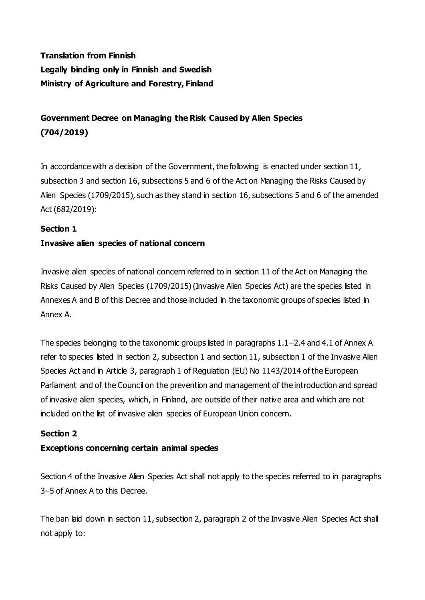# **Translation from Finnish Legally binding only in Finnish and Swedish Ministry of Agriculture and Forestry, Finland**

# **Government Decree on Managing the Risk Caused by Alien Species (704/2019)**

In accordance with a decision of the Government, the following is enacted under section 11, subsection 3 and section 16, subsections 5 and 6 of the Act on Managing the Risks Caused by Alien Species (1709/2015), such as they stand in section 16, subsections 5 and 6 of the amended Act (682/2019):

### **Section 1**

## **Invasive alien species of national concern**

Invasive alien species of national concern referred to in section 11 of the Act on Managing the Risks Caused by Alien Species (1709/2015) (Invasive Alien Species Act) are the species listed in Annexes A and B of this Decree and those included in the taxonomic groups of species listed in Annex A.

The species belonging to the taxonomic groups listed in paragraphs 1.1–2.4 and 4.1 of Annex A refer to species listed in section 2, subsection 1 and section 11, subsection 1 of the Invasive Alien Species Act and in Article 3, paragraph 1 of Regulation (EU) No 1143/2014 of the European Parliament and of the Council on the prevention and management of the introduction and spread of invasive alien species, which, in Finland, are outside of their native area and which are not included on the list of invasive alien species of European Union concern.

#### **Section 2**

#### **Exceptions concerning certain animal species**

Section 4 of the Invasive Alien Species Act shall not apply to the species referred to in paragraphs 3–5 of Annex A to this Decree.

The ban laid down in section 11, subsection 2, paragraph 2 of the Invasive Alien Species Act shall not apply to: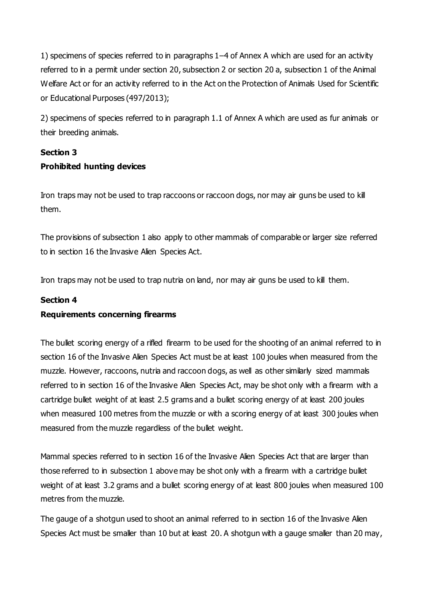1) specimens of species referred to in paragraphs 1–4 of Annex A which are used for an activity referred to in a permit under section 20, subsection 2 or section 20 a, subsection 1 of the Animal Welfare Act or for an activity referred to in the Act on the Protection of Animals Used for Scientific or Educational Purposes (497/2013);

2) specimens of species referred to in paragraph 1.1 of Annex A which are used as fur animals or their breeding animals.

## **Section 3 Prohibited hunting devices**

Iron traps may not be used to trap raccoons or raccoon dogs, nor may air guns be used to kill them.

The provisions of subsection 1 also apply to other mammals of comparable or larger size referred to in section 16 the Invasive Alien Species Act.

Iron traps may not be used to trap nutria on land, nor may air guns be used to kill them.

#### **Section 4**

#### **Requirements concerning firearms**

The bullet scoring energy of a rifled firearm to be used for the shooting of an animal referred to in section 16 of the Invasive Alien Species Act must be at least 100 joules when measured from the muzzle. However, raccoons, nutria and raccoon dogs, as well as other similarly sized mammals referred to in section 16 of the Invasive Alien Species Act, may be shot only with a firearm with a cartridge bullet weight of at least 2.5 grams and a bullet scoring energy of at least 200 joules when measured 100 metres from the muzzle or with a scoring energy of at least 300 joules when measured from the muzzle regardless of the bullet weight.

Mammal species referred to in section 16 of the Invasive Alien Species Act that are larger than those referred to in subsection 1 above may be shot only with a firearm with a cartridge bullet weight of at least 3.2 grams and a bullet scoring energy of at least 800 joules when measured 100 metres from the muzzle.

The gauge of a shotgun used to shoot an animal referred to in section 16 of the Invasive Alien Species Act must be smaller than 10 but at least 20. A shotgun with a gauge smaller than 20 may,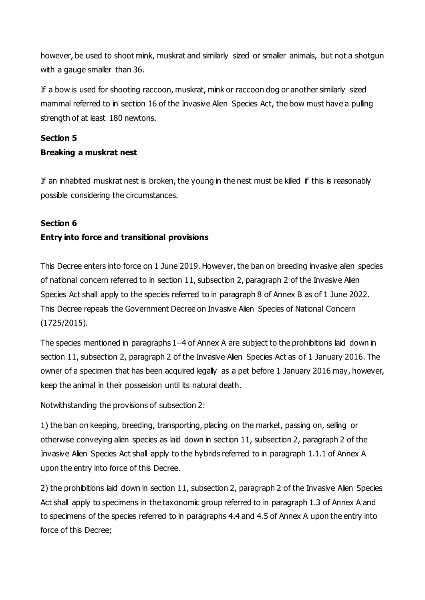however, be used to shoot mink, muskrat and similarly sized or smaller animals, but not a shotgun with a gauge smaller than 36.

If a bow is used for shooting raccoon, muskrat, mink or raccoon dog or another similarly sized mammal referred to in section 16 of the Invasive Alien Species Act, the bow must have a pulling strength of at least 180 newtons.

#### **Section 5**

### **Breaking a muskrat nest**

If an inhabited muskrat nest is broken, the young in the nest must be killed if this is reasonably possible considering the circumstances.

### **Section 6**

## **Entry into force and transitional provisions**

This Decree enters into force on 1 June 2019. However, the ban on breeding invasive alien species of national concern referred to in section 11, subsection 2, paragraph 2 of the Invasive Alien Species Act shall apply to the species referred to in paragraph 8 of Annex B as of 1 June 2022. This Decree repeals the Government Decree on Invasive Alien Species of National Concern (1725/2015).

The species mentioned in paragraphs 1–4 of Annex A are subject to the prohibitions laid down in section 11, subsection 2, paragraph 2 of the Invasive Alien Species Act as of 1 January 2016. The owner of a specimen that has been acquired legally as a pet before 1 January 2016 may, however, keep the animal in their possession until its natural death.

Notwithstanding the provisions of subsection 2:

1) the ban on keeping, breeding, transporting, placing on the market, passing on, selling or otherwise conveying alien species as laid down in section 11, subsection 2, paragraph 2 of the Invasive Alien Species Act shall apply to the hybrids referred to in paragraph 1.1.1 of Annex A upon the entry into force of this Decree.

2) the prohibitions laid down in section 11, subsection 2, paragraph 2 of the Invasive Alien Species Act shall apply to specimens in the taxonomic group referred to in paragraph 1.3 of Annex A and to specimens of the species referred to in paragraphs 4.4 and 4.5 of Annex A upon the entry into force of this Decree;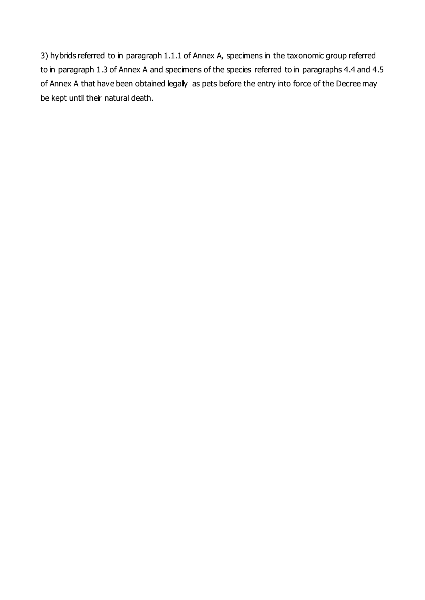3) hybrids referred to in paragraph 1.1.1 of Annex A, specimens in the taxonomic group referred to in paragraph 1.3 of Annex A and specimens of the species referred to in paragraphs 4.4 and 4.5 of Annex A that have been obtained legally as pets before the entry into force of the Decree may be kept until their natural death.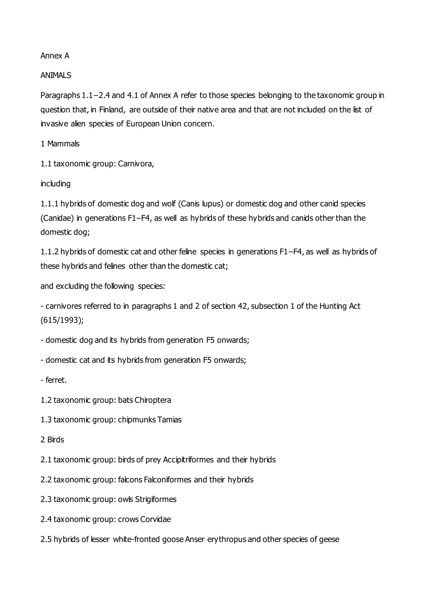#### Annex A

#### ANIMALS

Paragraphs 1.1−2.4 and 4.1 of Annex A refer to those species belonging to the taxonomic group in question that, in Finland, are outside of their native area and that are not included on the list of invasive alien species of European Union concern.

1 Mammals

1.1 taxonomic group: Carnivora,

including

1.1.1 hybrids of domestic dog and wolf (Canis lupus) or domestic dog and other canid species (Canidae) in generations F1–F4, as well as hybrids of these hybrids and canids other than the domestic dog;

1.1.2 hybrids of domestic cat and other feline species in generations F1–F4, as well as hybrids of these hybrids and felines other than the domestic cat;

and excluding the following species:

- carnivores referred to in paragraphs 1 and 2 of section 42, subsection 1 of the Hunting Act (615/1993);

- domestic dog and its hybrids from generation F5 onwards;

- domestic cat and its hybrids from generation F5 onwards;

- ferret.

1.2 taxonomic group: bats Chiroptera

1.3 taxonomic group: chipmunks Tamias

2 Birds

2.1 taxonomic group: birds of prey Accipitriformes and their hybrids

2.2 taxonomic group: falcons Falconiformes and their hybrids

2.3 taxonomic group: owls Strigiformes

2.4 taxonomic group: crows Corvidae

2.5 hybrids of lesser white-fronted goose Anser erythropus and other species of geese